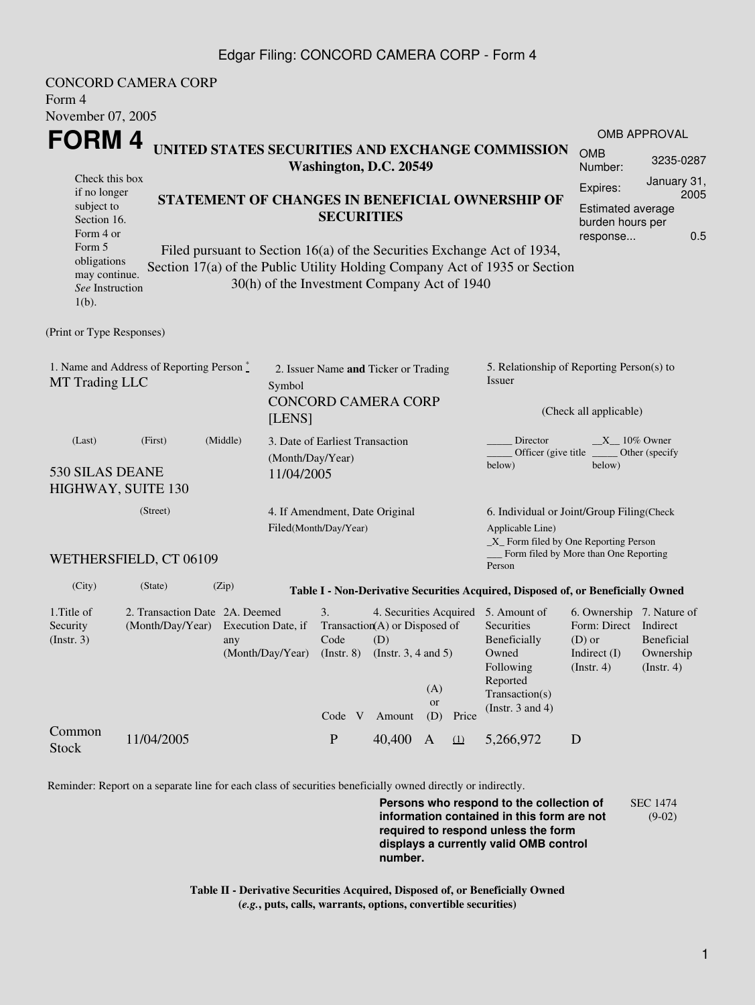#### Edgar Filing: CONCORD CAMERA CORP - Form 4

| Form 4<br>November 07, 2005                                                        | <b>CONCORD CAMERA CORP</b>                                            |                                                         |                  |                                                                      |                                                                     |                  |                                                                                       |                                                                                                                                                       |                                                                                                 |                                        |  |  |
|------------------------------------------------------------------------------------|-----------------------------------------------------------------------|---------------------------------------------------------|------------------|----------------------------------------------------------------------|---------------------------------------------------------------------|------------------|---------------------------------------------------------------------------------------|-------------------------------------------------------------------------------------------------------------------------------------------------------|-------------------------------------------------------------------------------------------------|----------------------------------------|--|--|
| FORM 4                                                                             |                                                                       |                                                         |                  |                                                                      |                                                                     |                  |                                                                                       | <b>OMB APPROVAL</b>                                                                                                                                   |                                                                                                 |                                        |  |  |
| UNITED STATES SECURITIES AND EXCHANGE COMMISSION<br>Washington, D.C. 20549         |                                                                       |                                                         |                  |                                                                      |                                                                     |                  | <b>OMB</b><br>Number:                                                                 | 3235-0287                                                                                                                                             |                                                                                                 |                                        |  |  |
| Check this box<br>if no longer<br>subject to<br>Section 16.                        |                                                                       |                                                         |                  | STATEMENT OF CHANGES IN BENEFICIAL OWNERSHIP OF<br><b>SECURITIES</b> |                                                                     |                  |                                                                                       |                                                                                                                                                       | January 31,<br>Expires:<br>2005<br><b>Estimated average</b><br>burden hours per                 |                                        |  |  |
| Form 4 or<br>Form 5<br>obligations<br>may continue.<br>See Instruction<br>$1(b)$ . |                                                                       |                                                         |                  |                                                                      | 30(h) of the Investment Company Act of 1940                         |                  |                                                                                       | Filed pursuant to Section 16(a) of the Securities Exchange Act of 1934,<br>Section 17(a) of the Public Utility Holding Company Act of 1935 or Section | response                                                                                        | 0.5                                    |  |  |
| (Print or Type Responses)                                                          |                                                                       |                                                         |                  |                                                                      |                                                                     |                  |                                                                                       |                                                                                                                                                       |                                                                                                 |                                        |  |  |
| 1. Name and Address of Reporting Person *<br>MT Trading LLC                        |                                                                       |                                                         | Symbol<br>[LENS] | 2. Issuer Name and Ticker or Trading<br><b>CONCORD CAMERA CORP</b>   |                                                                     |                  |                                                                                       | 5. Relationship of Reporting Person(s) to<br>Issuer<br>(Check all applicable)                                                                         |                                                                                                 |                                        |  |  |
| (Middle)<br>(First)<br>(Last)<br>530 SILAS DEANE<br>HIGHWAY, SUITE 130             |                                                                       |                                                         |                  | 3. Date of Earliest Transaction<br>(Month/Day/Year)<br>11/04/2005    |                                                                     |                  |                                                                                       | Director<br>below)                                                                                                                                    | $X_{10\%}$ Owner<br>Officer (give title<br>Other (specify<br>below)                             |                                        |  |  |
|                                                                                    | (Street)                                                              | 4. If Amendment, Date Original<br>Filed(Month/Day/Year) |                  |                                                                      |                                                                     | Applicable Line) | 6. Individual or Joint/Group Filing(Check<br>$\_X$ Form filed by One Reporting Person |                                                                                                                                                       |                                                                                                 |                                        |  |  |
|                                                                                    | WETHERSFIELD, CT 06109                                                |                                                         |                  |                                                                      |                                                                     |                  |                                                                                       | Person                                                                                                                                                | Form filed by More than One Reporting                                                           |                                        |  |  |
| (City)                                                                             | (State)                                                               | (Zip)                                                   |                  |                                                                      |                                                                     |                  |                                                                                       | Table I - Non-Derivative Securities Acquired, Disposed of, or Beneficially Owned                                                                      |                                                                                                 |                                        |  |  |
| 1. Title of<br>Security<br>(Insert. 3)                                             | 2. Transaction Date 2A. Deemed<br>(Month/Day/Year) Execution Date, if | any                                                     | (Month/Day/Year) | 3.<br>$Code$ (D)<br>$($ Instr. $8)$<br>Code V                        | Transaction(A) or Disposed of<br>(Instr. $3, 4$ and $5$ )<br>Amount | (A)<br>or<br>(D) | Price                                                                                 | 4. Securities Acquired 5. Amount of<br>Securities<br>Beneficially<br>Owned<br>Following<br>Reported<br>Transaction(s)<br>(Instr. $3$ and $4$ )        | 6. Ownership 7. Nature of<br>Form: Direct Indirect<br>$(D)$ or<br>Indirect $(I)$<br>(Insert. 4) | Beneficial<br>Ownership<br>(Insert. 4) |  |  |
| Common<br><b>Stock</b>                                                             | 11/04/2005                                                            |                                                         |                  | $\mathbf P$                                                          | 40,400                                                              | $\mathbf{A}$     | $\Omega$                                                                              | 5,266,972                                                                                                                                             | D                                                                                               |                                        |  |  |

Reminder: Report on a separate line for each class of securities beneficially owned directly or indirectly.

**Persons who respond to the collection of information contained in this form are not required to respond unless the form displays a currently valid OMB control number.** SEC 1474 (9-02)

**Table II - Derivative Securities Acquired, Disposed of, or Beneficially Owned (***e.g.***, puts, calls, warrants, options, convertible securities)**